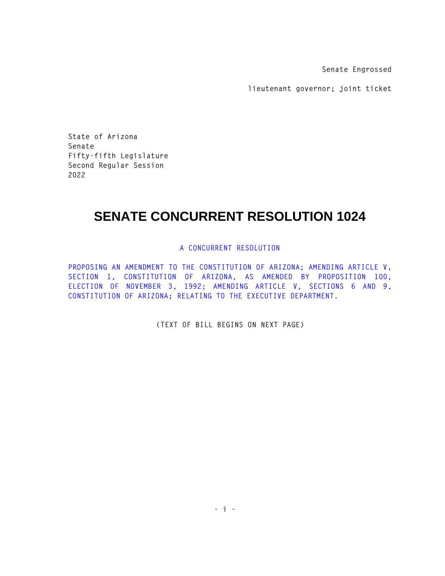**Senate Engrossed** 

**lieutenant governor; joint ticket** 

**State of Arizona Senate Fifty-fifth Legislature Second Regular Session 2022** 

## **SENATE CONCURRENT RESOLUTION 1024**

## **A CONCURRENT RESOLUTION**

**PROPOSING AN AMENDMENT TO THE CONSTITUTION OF ARIZONA; AMENDING ARTICLE V, SECTION 1, CONSTITUTION OF ARIZONA, AS AMENDED BY PROPOSITION 100, ELECTION OF NOVEMBER 3, 1992; AMENDING ARTICLE V, SECTIONS 6 AND 9, CONSTITUTION OF ARIZONA; RELATING TO THE EXECUTIVE DEPARTMENT.** 

**(TEXT OF BILL BEGINS ON NEXT PAGE)**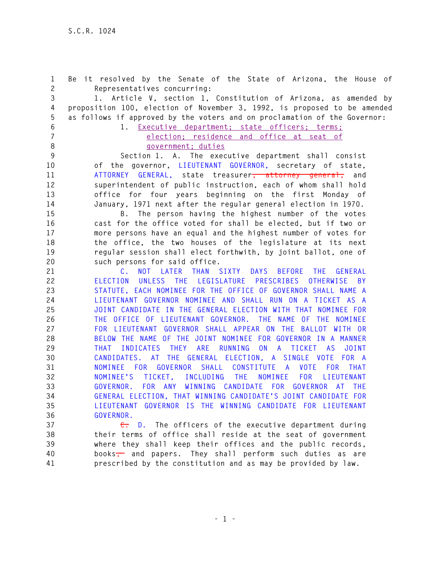**1 Be it resolved by the Senate of the State of Arizona, the House of 2 Representatives concurring: 3 1. Article V, section 1, Constitution of Arizona, as amended by 4 proposition 100, election of November 3, 1992, is proposed to be amended 5 as follows if approved by the voters and on proclamation of the Governor: 6 1. Executive department; state officers; terms; 7 election; residence and office at seat of 8 government; duties 9 Section 1. A. The executive department shall consist 10 of the governor, LIEUTENANT GOVERNOR, secretary of state, 11 ATTORNEY GENERAL, state treasurer, attorney general, and 12 superintendent of public instruction, each of whom shall hold 13 office for four years beginning on the first Monday of 14 January, 1971 next after the regular general election in 1970. 15 B. The person having the highest number of the votes 16 cast for the office voted for shall be elected, but if two or 17 more persons have an equal and the highest number of votes for 18 the office, the two houses of the legislature at its next 19 regular session shall elect forthwith, by joint ballot, one of 20 such persons for said office. 21 C. NOT LATER THAN SIXTY DAYS BEFORE THE GENERAL 22 ELECTION UNLESS THE LEGISLATURE PRESCRIBES OTHERWISE BY 23 STATUTE, EACH NOMINEE FOR THE OFFICE OF GOVERNOR SHALL NAME A 24 LIEUTENANT GOVERNOR NOMINEE AND SHALL RUN ON A TICKET AS A 25 JOINT CANDIDATE IN THE GENERAL ELECTION WITH THAT NOMINEE FOR 26 THE OFFICE OF LIEUTENANT GOVERNOR. THE NAME OF THE NOMINEE 27 FOR LIEUTENANT GOVERNOR SHALL APPEAR ON THE BALLOT WITH OR 28 BELOW THE NAME OF THE JOINT NOMINEE FOR GOVERNOR IN A MANNER 29 THAT INDICATES THEY ARE RUNNING ON A TICKET AS JOINT 30 CANDIDATES. AT THE GENERAL ELECTION, A SINGLE VOTE FOR A 31 NOMINEE FOR GOVERNOR SHALL CONSTITUTE A VOTE FOR THAT 32 NOMINEE'S TICKET, INCLUDING THE NOMINEE FOR LIEUTENANT 33 GOVERNOR. FOR ANY WINNING CANDIDATE FOR GOVERNOR AT THE 34 GENERAL ELECTION, THAT WINNING CANDIDATE'S JOINT CANDIDATE FOR 35 LIEUTENANT GOVERNOR IS THE WINNING CANDIDATE FOR LIEUTENANT 36 GOVERNOR. 37 C. D. The officers of the executive department during 38 their terms of office shall reside at the seat of government 39 where they shall keep their offices and the public records, 40 books, and papers. They shall perform such duties as are 41 prescribed by the constitution and as may be provided by law.**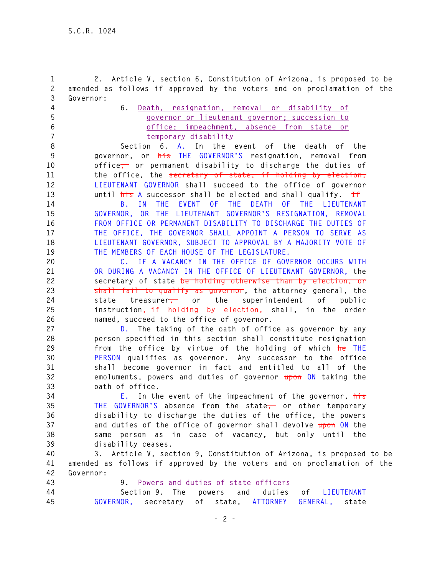**1 2. Article V, section 6, Constitution of Arizona, is proposed to be 2 amended as follows if approved by the voters and on proclamation of the 3 Governor: 4 6. Death, resignation, removal or disability of 5 governor or lieutenant governor; succession to 6 office; impeachment, absence from state or 7 temporary disability 8 Section 6. A. In the event of the death of the 9 governor, or his THE GOVERNOR'S resignation, removal from 10 office, or permanent disability to discharge the duties of 11 the office, the secretary of state, if holding by election, 12 LIEUTENANT GOVERNOR shall succeed to the office of governor 13 until his A successor shall be elected and shall qualify. If 14 B. IN THE EVENT OF THE DEATH OF THE LIEUTENANT 15 GOVERNOR, OR THE LIEUTENANT GOVERNOR'S RESIGNATION, REMOVAL 16 FROM OFFICE OR PERMANENT DISABILITY TO DISCHARGE THE DUTIES OF 17 THE OFFICE, THE GOVERNOR SHALL APPOINT A PERSON TO SERVE AS 18 LIEUTENANT GOVERNOR, SUBJECT TO APPROVAL BY A MAJORITY VOTE OF 19 THE MEMBERS OF EACH HOUSE OF THE LEGISLATURE. 20 C. IF A VACANCY IN THE OFFICE OF GOVERNOR OCCURS WITH 21 OR DURING A VACANCY IN THE OFFICE OF LIEUTENANT GOVERNOR, the 22 secretary of state be holding otherwise than by election, or 23 shall fail to qualify as governor, the attorney general, the 24 state treasurer, or the superintendent of public 25 instruction, if holding by election, shall, in the order 26 named, succeed to the office of governor.** 

**27 D. The taking of the oath of office as governor by any 28 person specified in this section shall constitute resignation 29 from the office by virtue of the holding of which he THE 30 PERSON qualifies as governor. Any successor to the office 31 shall become governor in fact and entitled to all of the 32 emoluments, powers and duties of governor upon ON taking the 33 oath of office.** 

**34 E. In the event of the impeachment of the governor, his 35 THE GOVERNOR'S absence from the state, or other temporary 36 disability to discharge the duties of the office, the powers 37 and duties of the office of governor shall devolve upon ON the 38 same person as in case of vacancy, but only until the 39 disability ceases.** 

**40 3. Article V, section 9, Constitution of Arizona, is proposed to be 41 amended as follows if approved by the voters and on proclamation of the 42 Governor:** 

**43 9. Powers and duties of state officers** 

| 44 |                                                       |  |  |  | Section 9. The powers and duties of LIEUTENANT |
|----|-------------------------------------------------------|--|--|--|------------------------------------------------|
| 45 | GOVERNOR, secretary of state, ATTORNEY GENERAL, state |  |  |  |                                                |